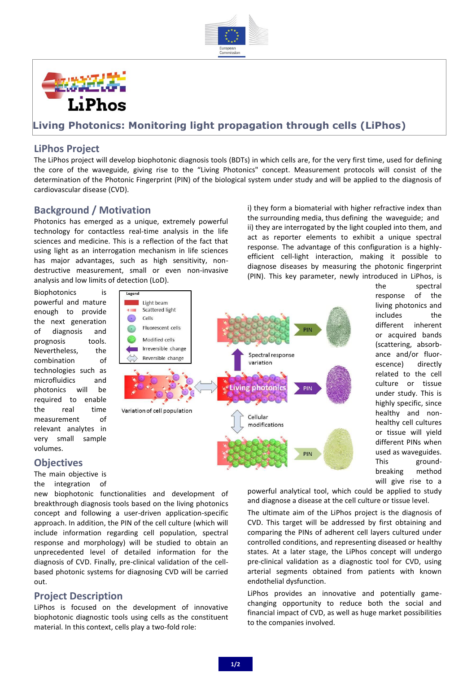



## **Living Photonics: Monitoring light propagation through cells (LiPhos)**

### **LiPhos Project**

The LiPhos project will develop biophotonic diagnosis tools (BDTs) in which cells are, for the very first time, used for defining the core of the waveguide, giving rise to the "Living Photonics" concept. Measurement protocols will consist of the determination of the Photonic Fingerprint (PIN) of the biological system under study and will be applied to the diagnosis of cardiovascular disease (CVD).

#### **Background / Motivation**

Photonics has emerged as a unique, extremely powerful technology for contactless real-time analysis in the life sciences and medicine. This is a reflection of the fact that using light as an interrogation mechanism in life sciences has major advantages, such as high sensitivity, nondestructive measurement, small or even non-invasive analysis and low limits of detection (LoD).

i) they form a biomaterial with higher refractive index than the surrounding media, thus defining the waveguide; and ii) they are interrogated by the light coupled into them, and act as reporter elements to exhibit a unique spectral response. The advantage of this configuration is a highlyefficient cell-light interaction, making it possible to diagnose diseases by measuring the photonic fingerprint (PIN). This key parameter, newly introduced in LiPhos, is

Biophotonics is powerful and mature enough to provide the next generation of diagnosis and prognosis tools. Nevertheless, the combination of technologies such as microfluidics and photonics will be required to enable the real time measurement of relevant analytes in very small sample volumes.



the spectral response of the living photonics and includes the different inherent or acquired bands (scattering, absorbance and/or fluorescence) directly related to the cell culture or tissue under study. This is highly specific, since healthy and nonhealthy cell cultures or tissue will yield different PINs when used as waveguides. This groundbreaking method will give rise to a

#### **Objectives**

The main objective is the integration of

new biophotonic functionalities and development of breakthrough diagnosis tools based on the living photonics concept and following a user-driven application-specific approach. In addition, the PIN of the cell culture (which will include information regarding cell population, spectral response and morphology) will be studied to obtain an unprecedented level of detailed information for the diagnosis of CVD. Finally, pre-clinical validation of the cellbased photonic systems for diagnosing CVD will be carried out.

### **Project Description**

LiPhos is focused on the development of innovative biophotonic diagnostic tools using cells as the constituent material. In this context, cells play a two-fold role:

powerful analytical tool, which could be applied to study and diagnose a disease at the cell culture or tissue level.

The ultimate aim of the LiPhos project is the diagnosis of CVD. This target will be addressed by first obtaining and comparing the PINs of adherent cell layers cultured under controlled conditions, and representing diseased or healthy states. At a later stage, the LiPhos concept will undergo pre-clinical validation as a diagnostic tool for CVD, using arterial segments obtained from patients with known endothelial dysfunction.

LiPhos provides an innovative and potentially gamechanging opportunity to reduce both the social and financial impact of CVD, as well as huge market possibilities to the companies involved.